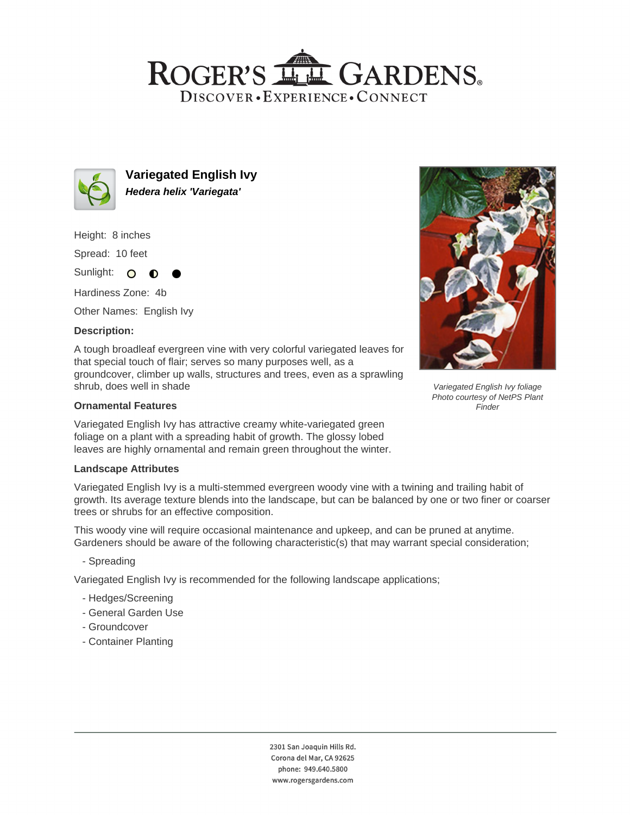## ROGER'S LLE GARDENS. DISCOVER · EXPERIENCE · CONNECT



**Variegated English Ivy Hedera helix 'Variegata'**

Height: 8 inches

Spread: 10 feet

Sunlight: O  $\bullet$ 

Hardiness Zone: 4b

Other Names: English Ivy

## **Description:**

A tough broadleaf evergreen vine with very colorful variegated leaves for that special touch of flair; serves so many purposes well, as a groundcover, climber up walls, structures and trees, even as a sprawling shrub, does well in shade

## **Ornamental Features**

Variegated English Ivy has attractive creamy white-variegated green foliage on a plant with a spreading habit of growth. The glossy lobed leaves are highly ornamental and remain green throughout the winter.

#### **Landscape Attributes**

Variegated English Ivy is a multi-stemmed evergreen woody vine with a twining and trailing habit of growth. Its average texture blends into the landscape, but can be balanced by one or two finer or coarser trees or shrubs for an effective composition.

This woody vine will require occasional maintenance and upkeep, and can be pruned at anytime. Gardeners should be aware of the following characteristic(s) that may warrant special consideration;

- Spreading

Variegated English Ivy is recommended for the following landscape applications;

- Hedges/Screening
- General Garden Use
- Groundcover
- Container Planting



Variegated English Ivy foliage Photo courtesy of NetPS Plant **Finder**